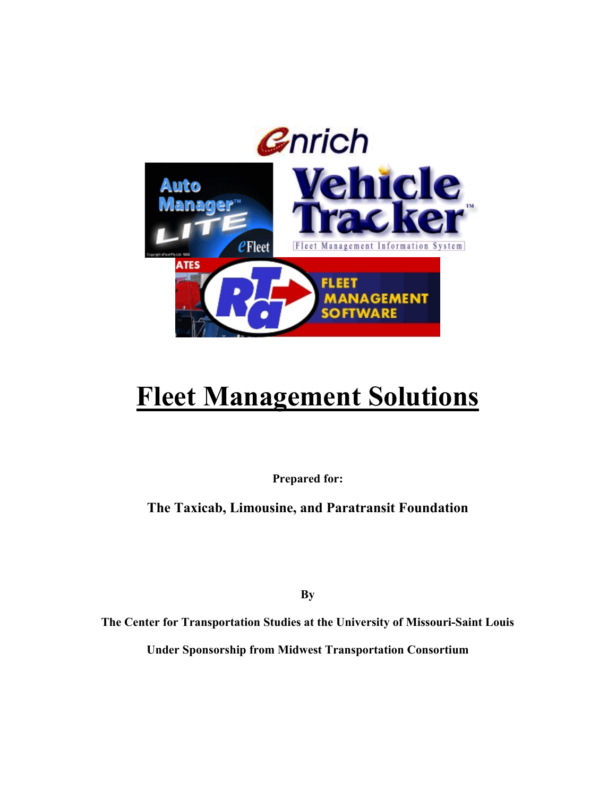

# **Fleet Management Solutions**

**Prepared for:** 

**The Taxicab, Limousine, and Paratransit Foundation** 

**By** 

**The Center for Transportation Studies at the University of Missouri-Saint Louis** 

**Under Sponsorship from Midwest Transportation Consortium**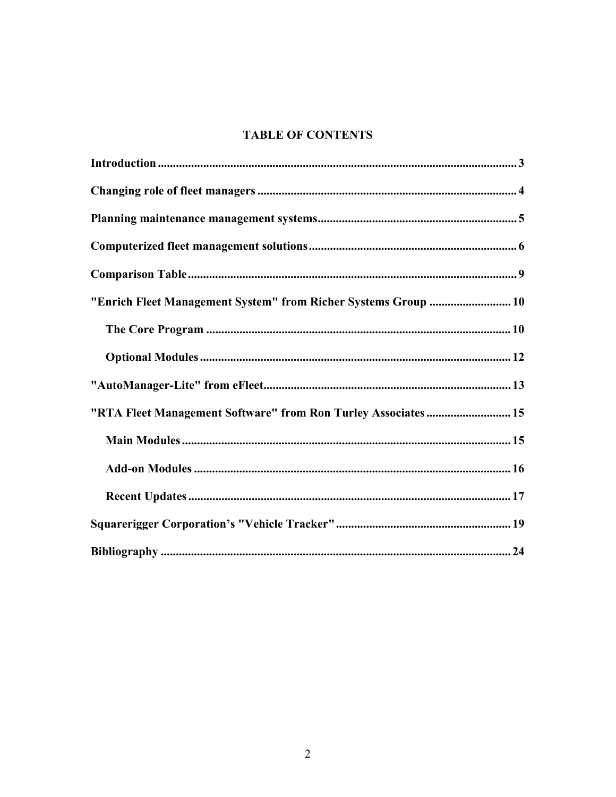# **TABLE OF CONTENTS**

| "Enrich Fleet Management System" from Richer Systems Group  10 |
|----------------------------------------------------------------|
|                                                                |
|                                                                |
|                                                                |
| "RTA Fleet Management Software" from Ron Turley Associates 15  |
|                                                                |
|                                                                |
|                                                                |
|                                                                |
|                                                                |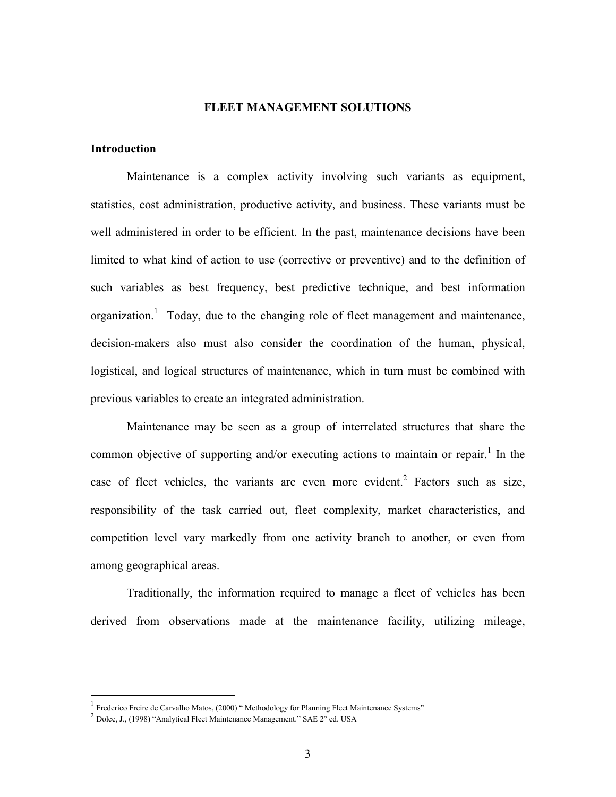### **FLEET MANAGEMENT SOLUTIONS**

## **Introduction**

 Maintenance is a complex activity involving such variants as equipment, statistics, cost administration, productive activity, and business. These variants must be well administered in order to be efficient. In the past, maintenance decisions have been limited to what kind of action to use (corrective or preventive) and to the definition of such variables as best frequency, best predictive technique, and best information organization.<sup>1</sup> Today, due to the changing role of fleet management and maintenance, decision-makers also must also consider the coordination of the human, physical, logistical, and logical structures of maintenance, which in turn must be combined with previous variables to create an integrated administration.

Maintenance may be seen as a group of interrelated structures that share the common objective of supporting and/or executing actions to maintain or repair.<sup>1</sup> In the case of fleet vehicles, the variants are even more evident.<sup>2</sup> Factors such as size, responsibility of the task carried out, fleet complexity, market characteristics, and competition level vary markedly from one activity branch to another, or even from among geographical areas.

Traditionally, the information required to manage a fleet of vehicles has been derived from observations made at the maintenance facility, utilizing mileage,

 $\overline{a}$ 

 $1$  Frederico Freire de Carvalho Matos, (2000) " Methodology for Planning Fleet Maintenance Systems"

 $2$  Dolce, J., (1998) "Analytical Fleet Maintenance Management." SAE  $2^{\circ}$  ed. USA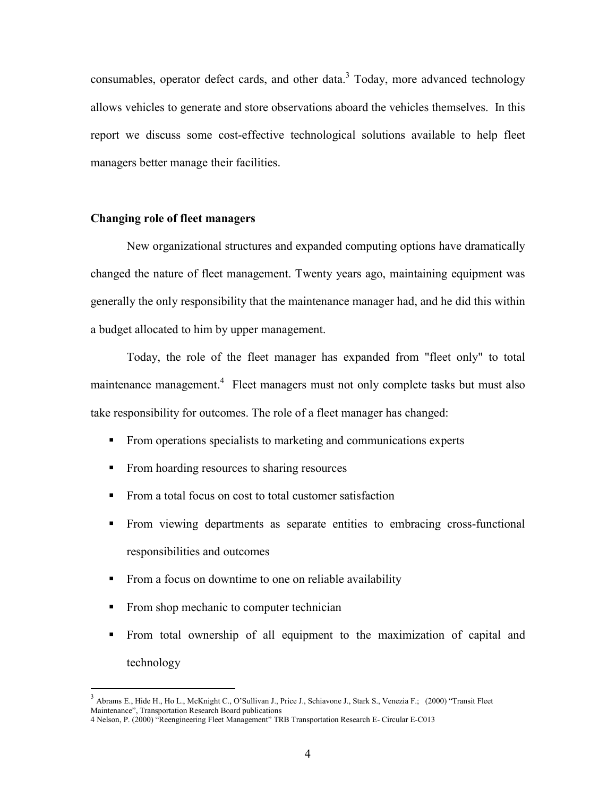consumables, operator defect cards, and other data. $3$  Today, more advanced technology allows vehicles to generate and store observations aboard the vehicles themselves. In this report we discuss some cost-effective technological solutions available to help fleet managers better manage their facilities.

#### **Changing role of fleet managers**

New organizational structures and expanded computing options have dramatically changed the nature of fleet management. Twenty years ago, maintaining equipment was generally the only responsibility that the maintenance manager had, and he did this within a budget allocated to him by upper management.

Today, the role of the fleet manager has expanded from "fleet only" to total maintenance management.<sup>4</sup> Fleet managers must not only complete tasks but must also take responsibility for outcomes. The role of a fleet manager has changed:

- From operations specialists to marketing and communications experts
- From hoarding resources to sharing resources
- From a total focus on cost to total customer satisfaction
- From viewing departments as separate entities to embracing cross-functional responsibilities and outcomes
- From a focus on downtime to one on reliable availability
- From shop mechanic to computer technician

 $\overline{a}$ 

From total ownership of all equipment to the maximization of capital and technology

<sup>3</sup> Abrams E., Hide H., Ho L., McKnight C., O'Sullivan J., Price J., Schiavone J., Stark S., Venezia F.; (2000) "Transit Fleet Maintenance", Transportation Research Board publications

<sup>4</sup> Nelson, P. (2000) "Reengineering Fleet Management" TRB Transportation Research E- Circular E-C013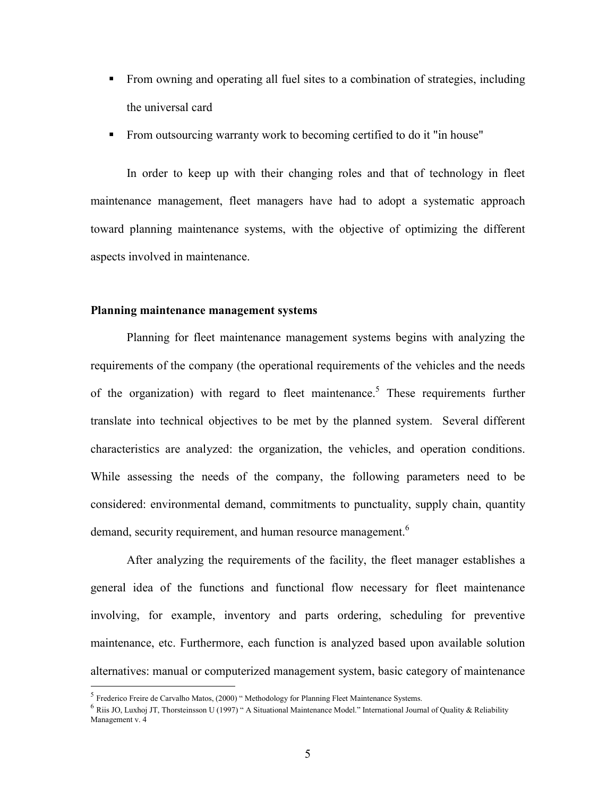- From owning and operating all fuel sites to a combination of strategies, including the universal card
- From outsourcing warranty work to becoming certified to do it "in house"

In order to keep up with their changing roles and that of technology in fleet maintenance management, fleet managers have had to adopt a systematic approach toward planning maintenance systems, with the objective of optimizing the different aspects involved in maintenance.

#### **Planning maintenance management systems**

Planning for fleet maintenance management systems begins with analyzing the requirements of the company (the operational requirements of the vehicles and the needs of the organization) with regard to fleet maintenance.<sup>5</sup> These requirements further translate into technical objectives to be met by the planned system. Several different characteristics are analyzed: the organization, the vehicles, and operation conditions. While assessing the needs of the company, the following parameters need to be considered: environmental demand, commitments to punctuality, supply chain, quantity demand, security requirement, and human resource management.<sup>6</sup>

After analyzing the requirements of the facility, the fleet manager establishes a general idea of the functions and functional flow necessary for fleet maintenance involving, for example, inventory and parts ordering, scheduling for preventive maintenance, etc. Furthermore, each function is analyzed based upon available solution alternatives: manual or computerized management system, basic category of maintenance

 $\overline{a}$ 

<sup>5</sup> Frederico Freire de Carvalho Matos, (2000) " Methodology for Planning Fleet Maintenance Systems.

 $6$  Riis JO, Luxhoj JT, Thorsteinsson U (1997) " A Situational Maintenance Model." International Journal of Quality & Reliability Management v. 4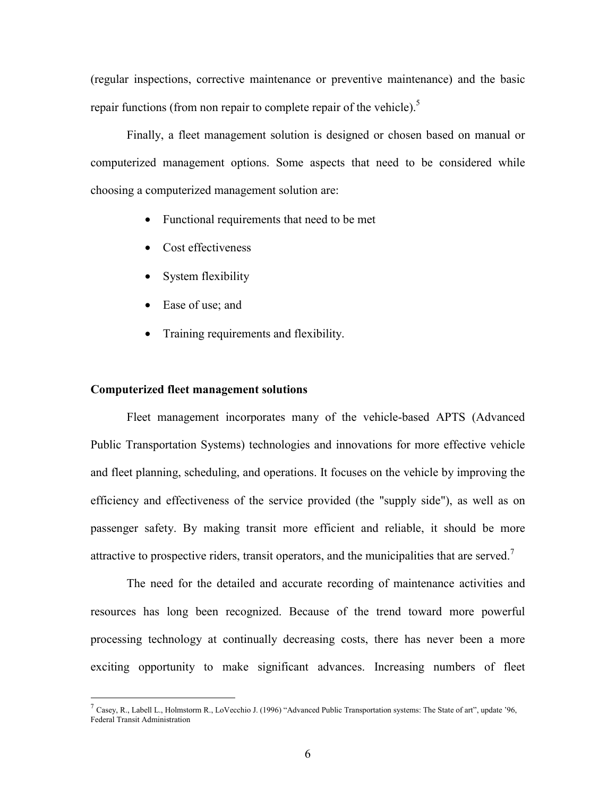(regular inspections, corrective maintenance or preventive maintenance) and the basic repair functions (from non repair to complete repair of the vehicle).<sup>5</sup>

Finally, a fleet management solution is designed or chosen based on manual or computerized management options. Some aspects that need to be considered while choosing a computerized management solution are:

- Functional requirements that need to be met
- Cost effectiveness
- System flexibility
- Ease of use; and
- Training requirements and flexibility.

#### **Computerized fleet management solutions**

 $\overline{a}$ 

Fleet management incorporates many of the vehicle-based APTS (Advanced Public Transportation Systems) technologies and innovations for more effective vehicle and fleet planning, scheduling, and operations. It focuses on the vehicle by improving the efficiency and effectiveness of the service provided (the "supply side"), as well as on passenger safety. By making transit more efficient and reliable, it should be more attractive to prospective riders, transit operators, and the municipalities that are served.<sup>7</sup>

The need for the detailed and accurate recording of maintenance activities and resources has long been recognized. Because of the trend toward more powerful processing technology at continually decreasing costs, there has never been a more exciting opportunity to make significant advances. Increasing numbers of fleet

<sup>&</sup>lt;sup>7</sup> Casey, R., Labell L., Holmstorm R., LoVecchio J. (1996) "Advanced Public Transportation systems: The State of art", update '96, Federal Transit Administration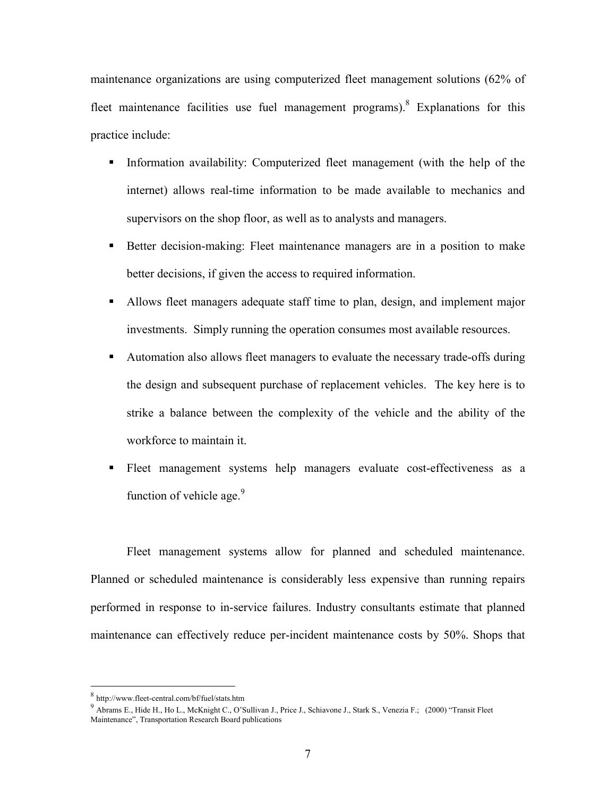maintenance organizations are using computerized fleet management solutions (62% of fleet maintenance facilities use fuel management programs). Explanations for this practice include:

- Information availability: Computerized fleet management (with the help of the internet) allows real-time information to be made available to mechanics and supervisors on the shop floor, as well as to analysts and managers.
- Better decision-making: Fleet maintenance managers are in a position to make better decisions, if given the access to required information.
- Allows fleet managers adequate staff time to plan, design, and implement major investments. Simply running the operation consumes most available resources.
- Automation also allows fleet managers to evaluate the necessary trade-offs during the design and subsequent purchase of replacement vehicles. The key here is to strike a balance between the complexity of the vehicle and the ability of the workforce to maintain it.
- Fleet management systems help managers evaluate cost-effectiveness as a function of vehicle age. $9$

Fleet management systems allow for planned and scheduled maintenance. Planned or scheduled maintenance is considerably less expensive than running repairs performed in response to in-service failures. Industry consultants estimate that planned maintenance can effectively reduce per-incident maintenance costs by 50%. Shops that

 $\overline{a}$ 

<sup>8</sup> http://www.fleet-central.com/bf/fuel/stats.htm

<sup>9</sup> Abrams E., Hide H., Ho L., McKnight C., O'Sullivan J., Price J., Schiavone J., Stark S., Venezia F.; (2000) "Transit Fleet Maintenance", Transportation Research Board publications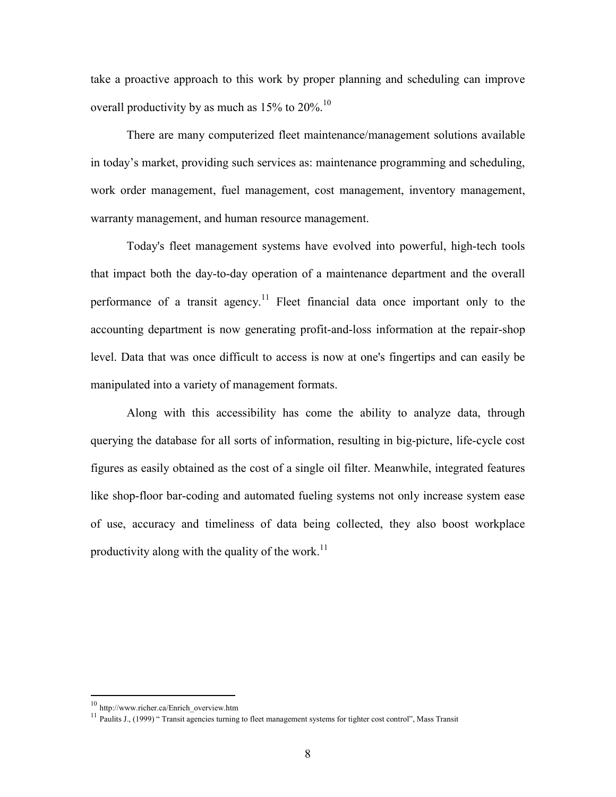take a proactive approach to this work by proper planning and scheduling can improve overall productivity by as much as  $15\%$  to  $20\%$ .<sup>10</sup>

There are many computerized fleet maintenance/management solutions available in today's market, providing such services as: maintenance programming and scheduling, work order management, fuel management, cost management, inventory management, warranty management, and human resource management.

Today's fleet management systems have evolved into powerful, high-tech tools that impact both the day-to-day operation of a maintenance department and the overall performance of a transit agency.<sup>11</sup> Fleet financial data once important only to the accounting department is now generating profit-and-loss information at the repair-shop level. Data that was once difficult to access is now at one's fingertips and can easily be manipulated into a variety of management formats.

Along with this accessibility has come the ability to analyze data, through querying the database for all sorts of information, resulting in big-picture, life-cycle cost figures as easily obtained as the cost of a single oil filter. Meanwhile, integrated features like shop-floor bar-coding and automated fueling systems not only increase system ease of use, accuracy and timeliness of data being collected, they also boost workplace productivity along with the quality of the work.<sup>11</sup>

 $\overline{a}$ 

<sup>10</sup> http://www.richer.ca/Enrich\_overview.htm

<sup>&</sup>lt;sup>11</sup> Paulits J., (1999) " Transit agencies turning to fleet management systems for tighter cost control", Mass Transit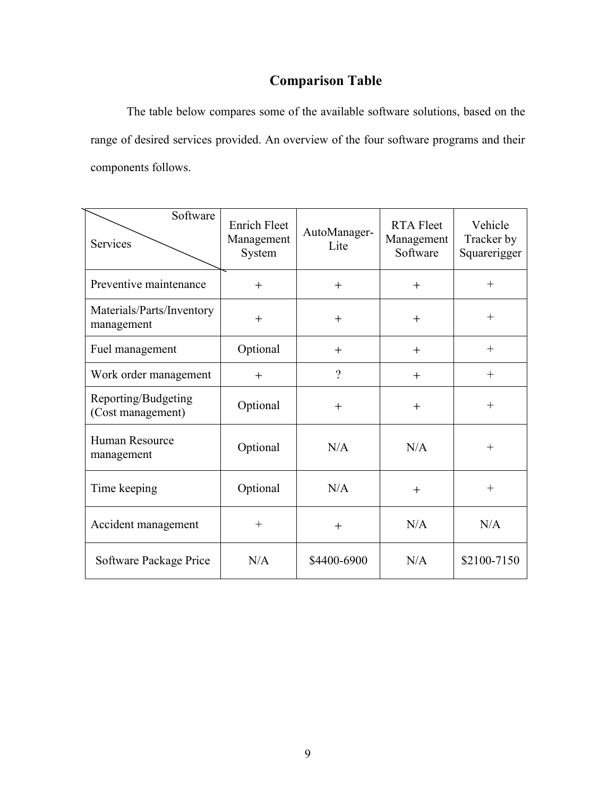# **Comparison Table**

The table below compares some of the available software solutions, based on the range of desired services provided. An overview of the four software programs and their components follows.

| Software<br><b>Services</b>              | <b>Enrich Fleet</b><br>Management<br>System | AutoManager-<br>Lite | <b>RTA Fleet</b><br>Management<br>Software | Vehicle<br>Tracker by<br>Squarerigger |
|------------------------------------------|---------------------------------------------|----------------------|--------------------------------------------|---------------------------------------|
| Preventive maintenance                   | $+$                                         | $+$                  | $+$                                        | $^{+}$                                |
| Materials/Parts/Inventory<br>management  | $^{+}$                                      | $+$                  | $^{+}$                                     | $+$                                   |
| Fuel management                          | Optional                                    | $^{+}$               | $^{+}$                                     | $^{+}$                                |
| Work order management                    | $+$                                         | $\gamma$             | $^{+}$                                     | $^{+}$                                |
| Reporting/Budgeting<br>(Cost management) | Optional                                    | $+$                  | $^{+}$                                     | $^{+}$                                |
| Human Resource<br>management             | Optional                                    | N/A                  | N/A                                        | $^{+}$                                |
| Time keeping                             | Optional                                    | N/A                  | $+$                                        | $+$                                   |
| Accident management                      | $^{+}$                                      | $+$                  | N/A                                        | N/A                                   |
| Software Package Price                   | N/A                                         | \$4400-6900          | N/A                                        | \$2100-7150                           |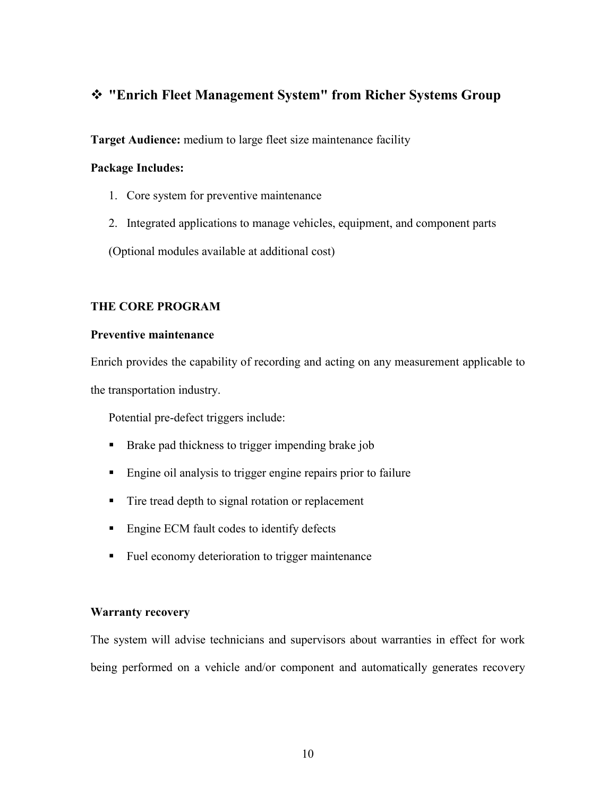# **"Enrich Fleet Management System" from Richer Systems Group**

**Target Audience:** medium to large fleet size maintenance facility

# **Package Includes:**

- 1. Core system for preventive maintenance
- 2. Integrated applications to manage vehicles, equipment, and component parts

(Optional modules available at additional cost)

# **THE CORE PROGRAM**

# **Preventive maintenance**

Enrich provides the capability of recording and acting on any measurement applicable to the transportation industry.

Potential pre-defect triggers include:

- **Brake pad thickness to trigger impending brake job**
- Engine oil analysis to trigger engine repairs prior to failure
- Tire tread depth to signal rotation or replacement
- Engine ECM fault codes to identify defects
- Fuel economy deterioration to trigger maintenance

# **Warranty recovery**

The system will advise technicians and supervisors about warranties in effect for work being performed on a vehicle and/or component and automatically generates recovery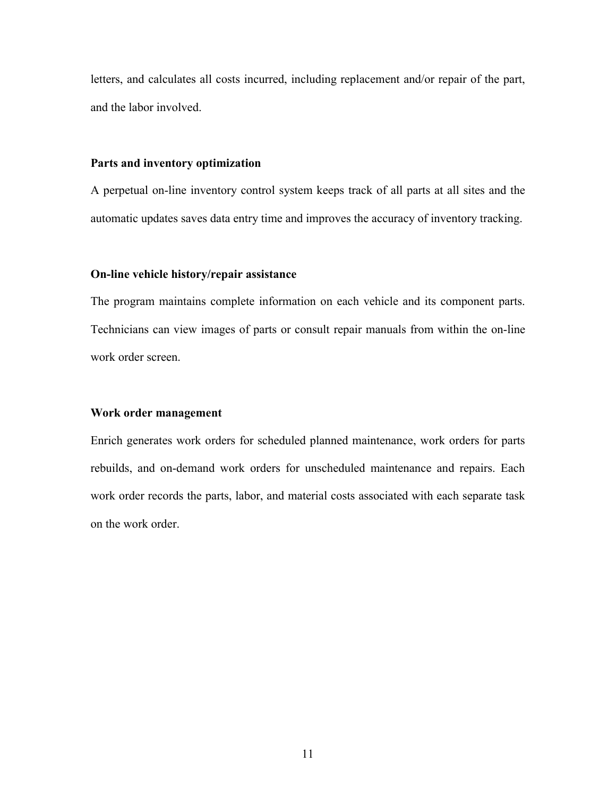letters, and calculates all costs incurred, including replacement and/or repair of the part, and the labor involved.

#### **Parts and inventory optimization**

A perpetual on-line inventory control system keeps track of all parts at all sites and the automatic updates saves data entry time and improves the accuracy of inventory tracking.

#### **On-line vehicle history/repair assistance**

The program maintains complete information on each vehicle and its component parts. Technicians can view images of parts or consult repair manuals from within the on-line work order screen.

#### **Work order management**

Enrich generates work orders for scheduled planned maintenance, work orders for parts rebuilds, and on-demand work orders for unscheduled maintenance and repairs. Each work order records the parts, labor, and material costs associated with each separate task on the work order.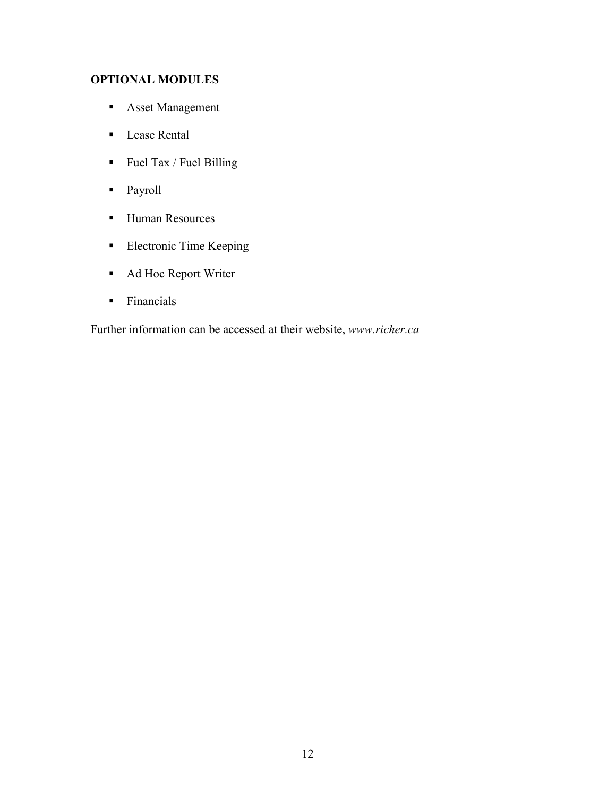# **OPTIONAL MODULES**

- **Asset Management**
- Lease Rental
- $\blacksquare$  Fuel Tax / Fuel Billing
- **Payroll**
- Human Resources
- **Electronic Time Keeping**
- Ad Hoc Report Writer
- Financials

Further information can be accessed at their website, *www.richer.ca*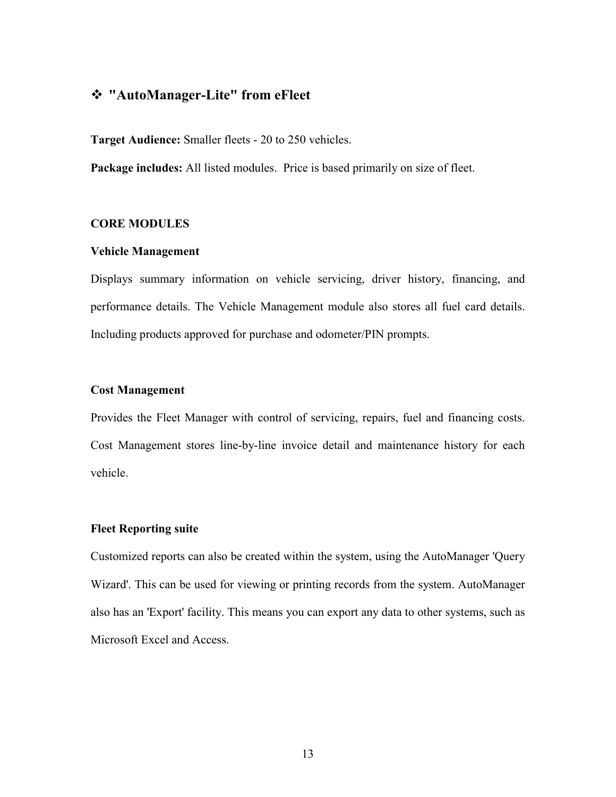# **"AutoManager-Lite" from eFleet**

**Target Audience:** Smaller fleets - 20 to 250 vehicles.

**Package includes:** All listed modules. Price is based primarily on size of fleet.

#### **CORE MODULES**

#### **Vehicle Management**

Displays summary information on vehicle servicing, driver history, financing, and performance details. The Vehicle Management module also stores all fuel card details. Including products approved for purchase and odometer/PIN prompts.

#### **Cost Management**

Provides the Fleet Manager with control of servicing, repairs, fuel and financing costs. Cost Management stores line-by-line invoice detail and maintenance history for each vehicle.

#### **Fleet Reporting suite**

Customized reports can also be created within the system, using the AutoManager 'Query Wizard'. This can be used for viewing or printing records from the system. AutoManager also has an 'Export' facility. This means you can export any data to other systems, such as Microsoft Excel and Access.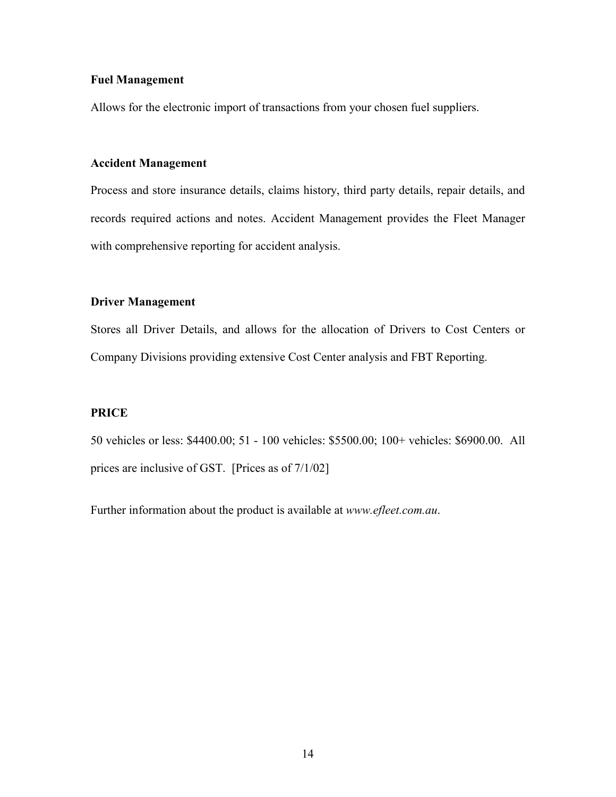#### **Fuel Management**

Allows for the electronic import of transactions from your chosen fuel suppliers.

#### **Accident Management**

Process and store insurance details, claims history, third party details, repair details, and records required actions and notes. Accident Management provides the Fleet Manager with comprehensive reporting for accident analysis.

# **Driver Management**

Stores all Driver Details, and allows for the allocation of Drivers to Cost Centers or Company Divisions providing extensive Cost Center analysis and FBT Reporting.

## **PRICE**

50 vehicles or less: \$4400.00; 51 - 100 vehicles: \$5500.00; 100+ vehicles: \$6900.00. All prices are inclusive of GST. [Prices as of 7/1/02]

Further information about the product is available at *www.efleet.com.au*.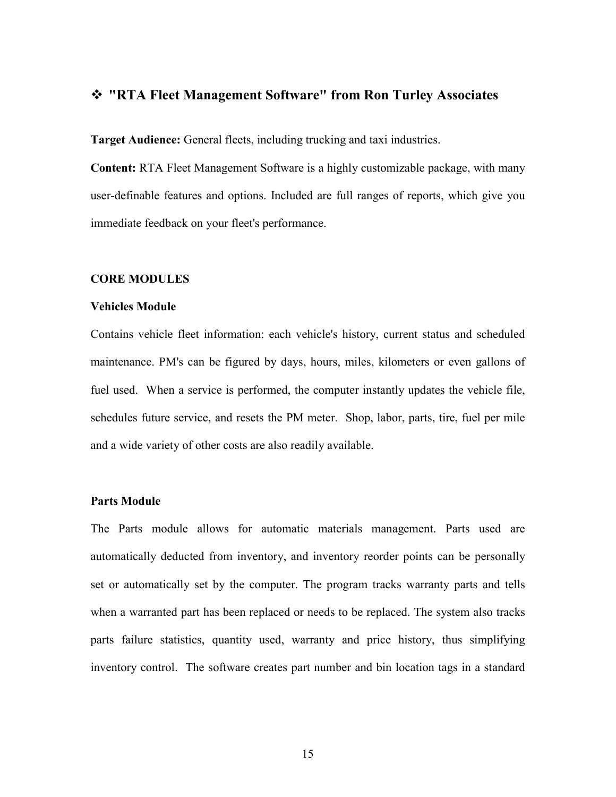# **"RTA Fleet Management Software" from Ron Turley Associates**

**Target Audience:** General fleets, including trucking and taxi industries.

**Content:** RTA Fleet Management Software is a highly customizable package, with many user-definable features and options. Included are full ranges of reports, which give you immediate feedback on your fleet's performance.

#### **CORE MODULES**

#### **Vehicles Module**

Contains vehicle fleet information: each vehicle's history, current status and scheduled maintenance. PM's can be figured by days, hours, miles, kilometers or even gallons of fuel used. When a service is performed, the computer instantly updates the vehicle file, schedules future service, and resets the PM meter. Shop, labor, parts, tire, fuel per mile and a wide variety of other costs are also readily available.

#### **Parts Module**

The Parts module allows for automatic materials management. Parts used are automatically deducted from inventory, and inventory reorder points can be personally set or automatically set by the computer. The program tracks warranty parts and tells when a warranted part has been replaced or needs to be replaced. The system also tracks parts failure statistics, quantity used, warranty and price history, thus simplifying inventory control. The software creates part number and bin location tags in a standard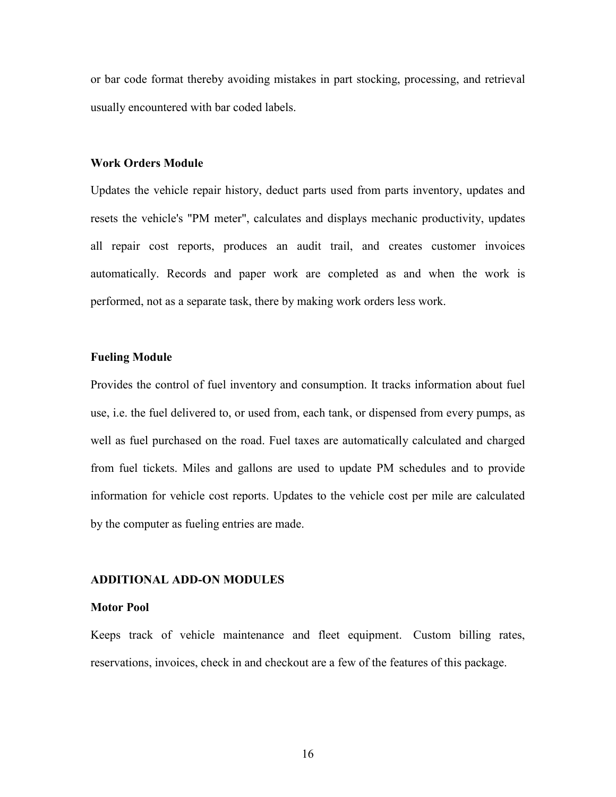or bar code format thereby avoiding mistakes in part stocking, processing, and retrieval usually encountered with bar coded labels.

#### **Work Orders Module**

Updates the vehicle repair history, deduct parts used from parts inventory, updates and resets the vehicle's "PM meter", calculates and displays mechanic productivity, updates all repair cost reports, produces an audit trail, and creates customer invoices automatically. Records and paper work are completed as and when the work is performed, not as a separate task, there by making work orders less work.

#### **Fueling Module**

Provides the control of fuel inventory and consumption. It tracks information about fuel use, i.e. the fuel delivered to, or used from, each tank, or dispensed from every pumps, as well as fuel purchased on the road. Fuel taxes are automatically calculated and charged from fuel tickets. Miles and gallons are used to update PM schedules and to provide information for vehicle cost reports. Updates to the vehicle cost per mile are calculated by the computer as fueling entries are made.

#### **ADDITIONAL ADD-ON MODULES**

#### **Motor Pool**

Keeps track of vehicle maintenance and fleet equipment. Custom billing rates, reservations, invoices, check in and checkout are a few of the features of this package.

16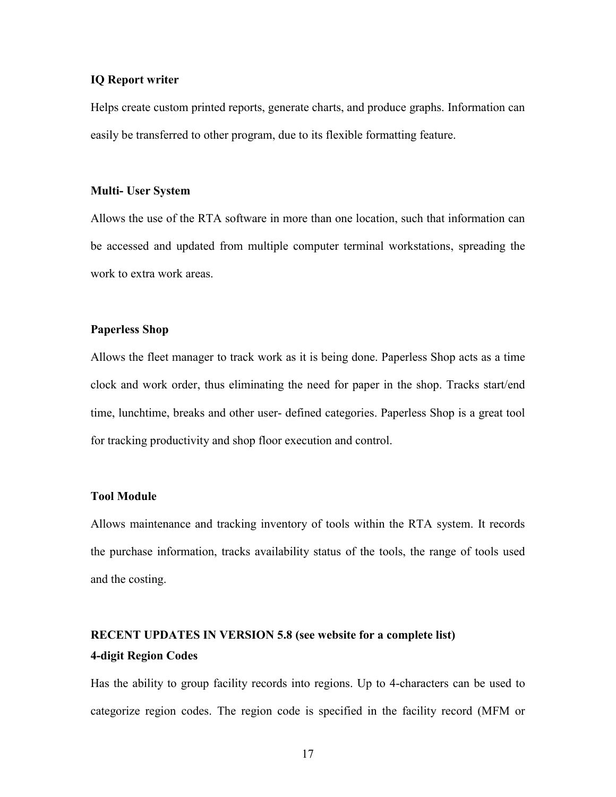#### **IQ Report writer**

Helps create custom printed reports, generate charts, and produce graphs. Information can easily be transferred to other program, due to its flexible formatting feature.

#### **Multi- User System**

Allows the use of the RTA software in more than one location, such that information can be accessed and updated from multiple computer terminal workstations, spreading the work to extra work areas.

#### **Paperless Shop**

Allows the fleet manager to track work as it is being done. Paperless Shop acts as a time clock and work order, thus eliminating the need for paper in the shop. Tracks start/end time, lunchtime, breaks and other user- defined categories. Paperless Shop is a great tool for tracking productivity and shop floor execution and control.

#### **Tool Module**

Allows maintenance and tracking inventory of tools within the RTA system. It records the purchase information, tracks availability status of the tools, the range of tools used and the costing.

# **RECENT UPDATES IN VERSION 5.8 (see website for a complete list) 4-digit Region Codes**

Has the ability to group facility records into regions. Up to 4-characters can be used to categorize region codes. The region code is specified in the facility record (MFM or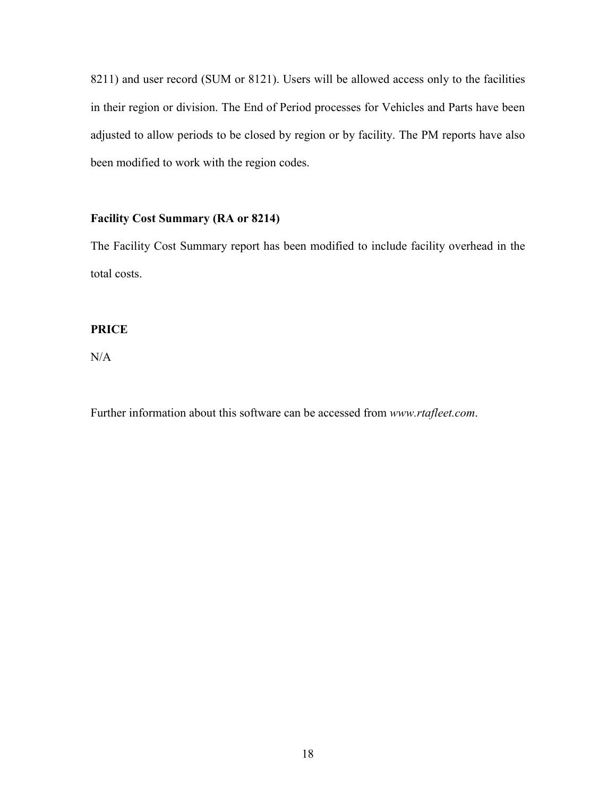8211) and user record (SUM or 8121). Users will be allowed access only to the facilities in their region or division. The End of Period processes for Vehicles and Parts have been adjusted to allow periods to be closed by region or by facility. The PM reports have also been modified to work with the region codes.

# **Facility Cost Summary (RA or 8214)**

The Facility Cost Summary report has been modified to include facility overhead in the total costs.

# **PRICE**

N/A

Further information about this software can be accessed from *www.rtafleet.com*.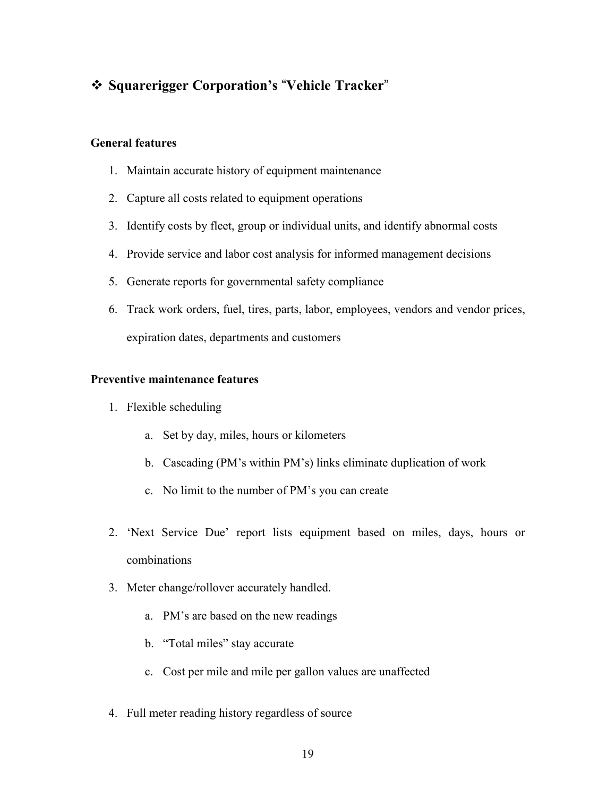# **Squarerigger Corporation's**-**Vehicle Tracker**

# **General features**

- 1. Maintain accurate history of equipment maintenance
- 2. Capture all costs related to equipment operations
- 3. Identify costs by fleet, group or individual units, and identify abnormal costs
- 4. Provide service and labor cost analysis for informed management decisions
- 5. Generate reports for governmental safety compliance
- 6. Track work orders, fuel, tires, parts, labor, employees, vendors and vendor prices, expiration dates, departments and customers

# **Preventive maintenance features**

- 1. Flexible scheduling
	- a. Set by day, miles, hours or kilometers
	- b. Cascading (PM's within PM's) links eliminate duplication of work
	- c. No limit to the number of PM's you can create
- 2. 'Next Service Due' report lists equipment based on miles, days, hours or combinations
- 3. Meter change/rollover accurately handled.
	- a. PM's are based on the new readings
	- b. "Total miles" stay accurate
	- c. Cost per mile and mile per gallon values are unaffected
- 4. Full meter reading history regardless of source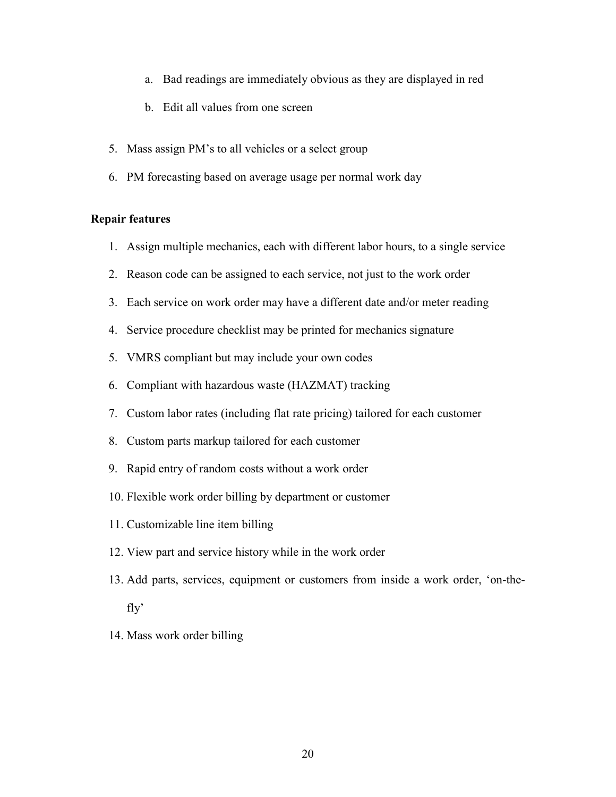- a. Bad readings are immediately obvious as they are displayed in red
- b. Edit all values from one screen
- 5. Mass assign PM's to all vehicles or a select group
- 6. PM forecasting based on average usage per normal work day

#### **Repair features**

- 1. Assign multiple mechanics, each with different labor hours, to a single service
- 2. Reason code can be assigned to each service, not just to the work order
- 3. Each service on work order may have a different date and/or meter reading
- 4. Service procedure checklist may be printed for mechanics signature
- 5. VMRS compliant but may include your own codes
- 6. Compliant with hazardous waste (HAZMAT) tracking
- 7. Custom labor rates (including flat rate pricing) tailored for each customer
- 8. Custom parts markup tailored for each customer
- 9. Rapid entry of random costs without a work order
- 10. Flexible work order billing by department or customer
- 11. Customizable line item billing
- 12. View part and service history while in the work order
- 13. Add parts, services, equipment or customers from inside a work order, 'on-thefly'
- 14. Mass work order billing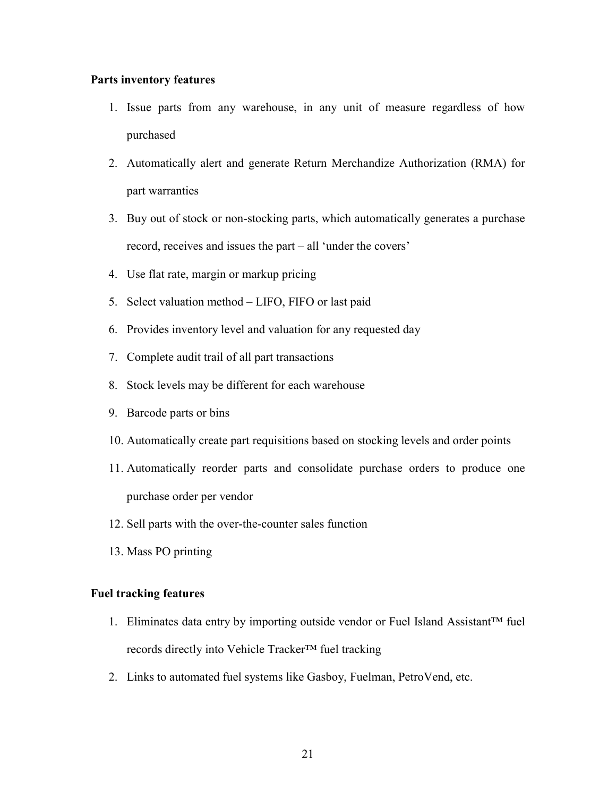#### **Parts inventory features**

- 1. Issue parts from any warehouse, in any unit of measure regardless of how purchased
- 2. Automatically alert and generate Return Merchandize Authorization (RMA) for part warranties
- 3. Buy out of stock or non-stocking parts, which automatically generates a purchase record, receives and issues the part – all 'under the covers'
- 4. Use flat rate, margin or markup pricing
- 5. Select valuation method LIFO, FIFO or last paid
- 6. Provides inventory level and valuation for any requested day
- 7. Complete audit trail of all part transactions
- 8. Stock levels may be different for each warehouse
- 9. Barcode parts or bins
- 10. Automatically create part requisitions based on stocking levels and order points
- 11. Automatically reorder parts and consolidate purchase orders to produce one purchase order per vendor
- 12. Sell parts with the over-the-counter sales function
- 13. Mass PO printing

# **Fuel tracking features**

- 1. Eliminates data entry by importing outside vendor or Fuel Island Assistant™ fuel records directly into Vehicle Tracker™ fuel tracking
- 2. Links to automated fuel systems like Gasboy, Fuelman, PetroVend, etc.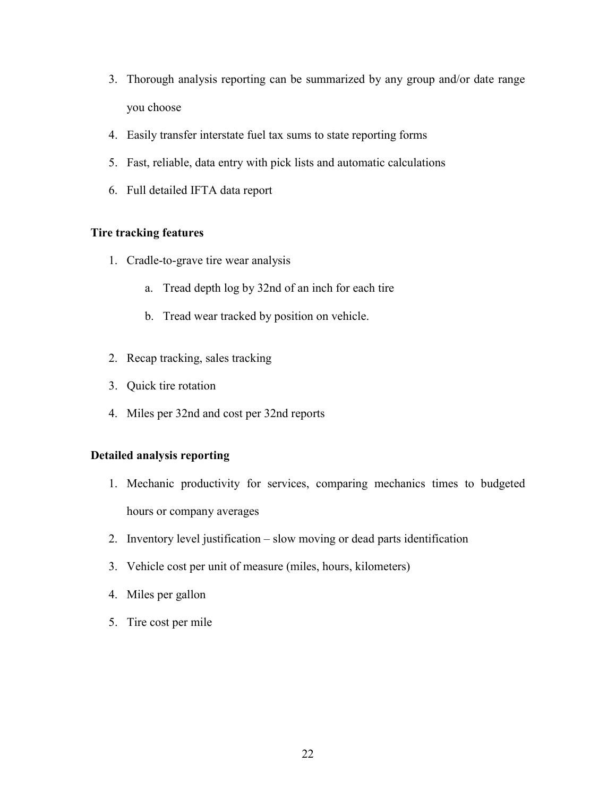- 3. Thorough analysis reporting can be summarized by any group and/or date range you choose
- 4. Easily transfer interstate fuel tax sums to state reporting forms
- 5. Fast, reliable, data entry with pick lists and automatic calculations
- 6. Full detailed IFTA data report

# **Tire tracking features**

- 1. Cradle-to-grave tire wear analysis
	- a. Tread depth log by 32nd of an inch for each tire
	- b. Tread wear tracked by position on vehicle.
- 2. Recap tracking, sales tracking
- 3. Quick tire rotation
- 4. Miles per 32nd and cost per 32nd reports

# **Detailed analysis reporting**

- 1. Mechanic productivity for services, comparing mechanics times to budgeted hours or company averages
- 2. Inventory level justification slow moving or dead parts identification
- 3. Vehicle cost per unit of measure (miles, hours, kilometers)
- 4. Miles per gallon
- 5. Tire cost per mile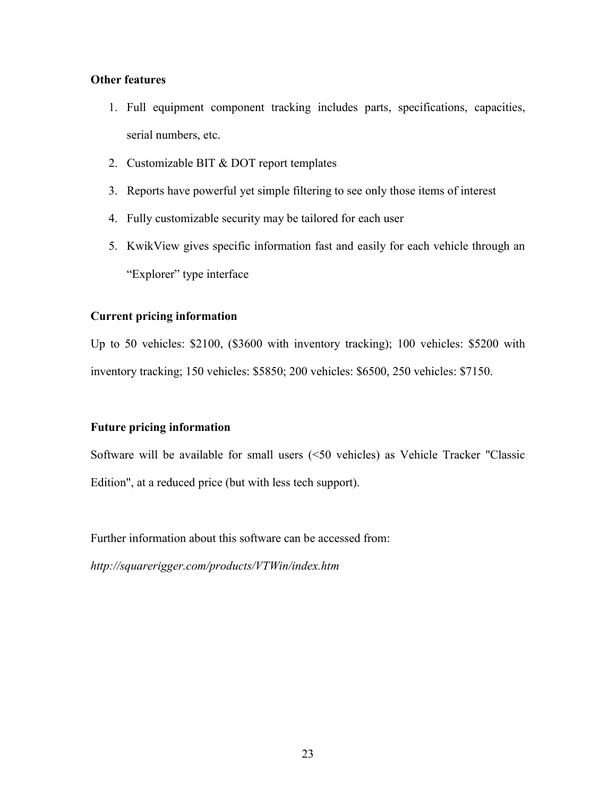# **Other features**

- 1. Full equipment component tracking includes parts, specifications, capacities, serial numbers, etc.
- 2. Customizable BIT & DOT report templates
- 3. Reports have powerful yet simple filtering to see only those items of interest
- 4. Fully customizable security may be tailored for each user
- 5. KwikView gives specific information fast and easily for each vehicle through an "Explorer" type interface

# **Current pricing information**

Up to 50 vehicles: \$2100, (\$3600 with inventory tracking); 100 vehicles: \$5200 with inventory tracking; 150 vehicles: \$5850; 200 vehicles: \$6500, 250 vehicles: \$7150.

# **Future pricing information**

Software will be available for small users (<50 vehicles) as Vehicle Tracker "Classic Edition", at a reduced price (but with less tech support).

Further information about this software can be accessed from:

*http://squarerigger.com/products/VTWin/index.htm*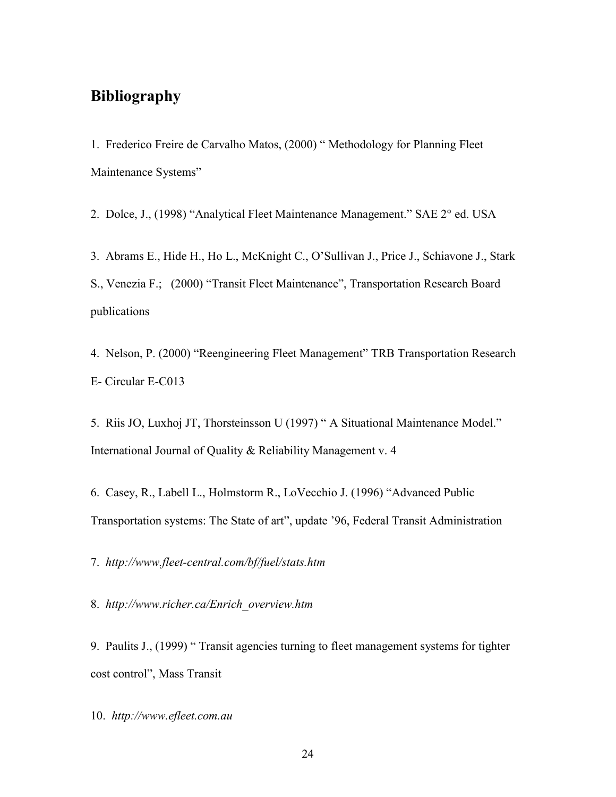# **Bibliography**

1. Frederico Freire de Carvalho Matos, (2000) " Methodology for Planning Fleet Maintenance Systems"

2. Dolce, J., (1998) "Analytical Fleet Maintenance Management." SAE 2° ed. USA

3. Abrams E., Hide H., Ho L., McKnight C., O'Sullivan J., Price J., Schiavone J., Stark S., Venezia F.; (2000) "Transit Fleet Maintenance", Transportation Research Board publications

4. Nelson, P. (2000) "Reengineering Fleet Management" TRB Transportation Research E- Circular E-C013

5. Riis JO, Luxhoj JT, Thorsteinsson U (1997) " A Situational Maintenance Model." International Journal of Quality & Reliability Management v. 4

6. Casey, R., Labell L., Holmstorm R., LoVecchio J. (1996) "Advanced Public Transportation systems: The State of art", update '96, Federal Transit Administration

7. *http://www.fleet-central.com/bf/fuel/stats.htm*

8. *http://www.richer.ca/Enrich\_overview.htm*

9. Paulits J., (1999) " Transit agencies turning to fleet management systems for tighter cost control", Mass Transit

10. *http://www.efleet.com.au*